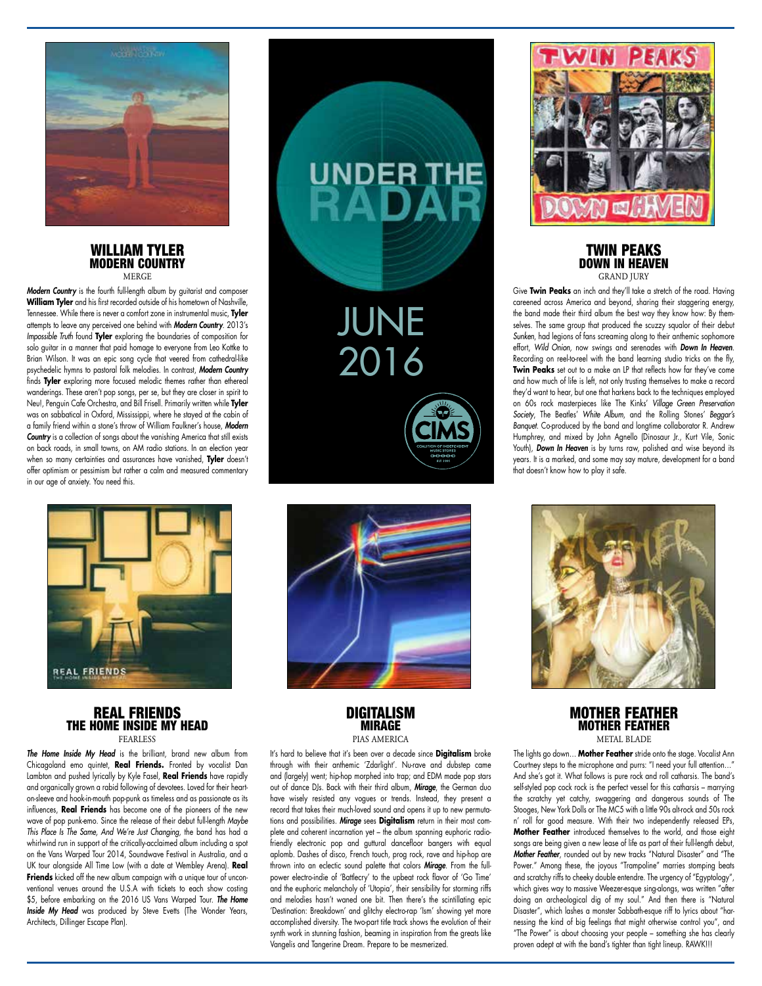

#### WILLIAM TYLER MODERN COUNTRY MER<sub>CE</sub>

*Modern Country* is the fourth full-length album by guitarist and composer **William Tyler** and his first recorded outside of his hometown of Nashville, Tennessee. While there is never a comfort zone in instrumental music, **Tyler** attempts to leave any perceived one behind with *Modern Country*. 2013's *Impossible Truth* found **Tyler** exploring the boundaries of composition for solo guitar in a manner that paid homage to everyone from Leo Kottke to Brian Wilson. It was an epic song cycle that veered from cathedral-like psychedelic hymns to pastoral folk melodies. In contrast, *Modern Country* finds **Tyler** exploring more focused melodic themes rather than ethereal wanderings. These aren't pop songs, per se, but they are closer in spirit to Neu!, Penguin Cafe Orchestra, and Bill Frisell. Primarily written while **Tyler** was on sabbatical in Oxford, Mississippi, where he stayed at the cabin of a family friend within a stone's throw of William Faulkner's house, *Modern*  **Country** is a collection of songs about the vanishing America that still exists on back roads, in small towns, on AM radio stations. In an election year when so many certainties and assurances have vanished, **Tyler** doesn't offer optimism or pessimism but rather a calm and measured commentary in our age of anxiety. You need this.



# REAL FRIENDS THE HOME INSIDE MY HEAD FEARLESS

*The Home Inside My Head* is the brilliant, brand new album from Chicagoland emo quintet, **Real Friends.** Fronted by vocalist Dan Lambton and pushed lyrically by Kyle Fasel, **Real Friends** have rapidly and organically grown a rabid following of devotees. Loved for their hearton-sleeve and hook-in-mouth pop-punk as timeless and as passionate as its influences, **Real Friends** has become one of the pioneers of the new wave of pop punk-emo. Since the release of their debut full-length *Maybe This Place Is The Same, And We're Just Changing*, the band has had a whirlwind run in support of the critically-acclaimed album including a spot on the Vans Warped Tour 2014, Soundwave Festival in Australia, and a UK tour alongside All Time Low (with a date at Wembley Arena). **Real Friends** kicked off the new album campaign with a unique tour of unconventional venues around the U.S.A with tickets to each show costing \$5, before embarking on the 2016 US Vans Warped Tour. *The Home Inside My Head* was produced by Steve Evetts (The Wonder Years, Architects, Dillinger Escape Plan).



UNDER THE



# DIGITALISM **MIRAGE** PIAS AMERICA

It's hard to believe that it's been over a decade since **Digitalism** broke through with their anthemic 'Zdarlight'. Nu-rave and dubstep came and (largely) went; hip-hop morphed into trap; and EDM made pop stars out of dance DJs. Back with their third album, *Mirage*, the German duo have wisely resisted any vogues or trends. Instead, they present a record that takes their much-loved sound and opens it up to new permutations and possibilities. *Mirage* sees **Digitalism** return in their most complete and coherent incarnation yet – the album spanning euphoric radiofriendly electronic pop and guttural dancefloor bangers with equal aplomb. Dashes of disco, French touch, prog rock, rave and hip-hop are thrown into an eclectic sound palette that colors *Mirage*. From the fullpower electro-indie of 'Battlecry' to the upbeat rock flavor of 'Go Time' and the euphoric melancholy of 'Utopia', their sensibility for storming riffs and melodies hasn't waned one bit. Then there's the scintillating epic 'Destination: Breakdown' and glitchy electro-rap 'Ism' showing yet more accomplished diversity. The two-part title track shows the evolution of their synth work in stunning fashion, beaming in inspiration from the greats like Vangelis and Tangerine Dream. Prepare to be mesmerized.



TWIN PEAKS DOWN IN HEAVEN **GRAND JURY** 

Give **Twin Peaks** an inch and they'll take a stretch of the road. Having careened across America and beyond, sharing their staggering energy, the band made their third album the best way they know how: By themselves. The same group that produced the scuzzy squalor of their debut *Sunken*, had legions of fans screaming along to their anthemic sophomore effort, *Wild Onion*, now swings and serenades with *Down In Heaven*. Recording on reel-to-reel with the band learning studio tricks on the fly, **Twin Peaks** set out to a make an LP that reflects how far they've come and how much of life is left, not only trusting themselves to make a record they'd want to hear, but one that harkens back to the techniques employed on 60s rock masterpieces like The Kinks' *Village Green Preservation Society*, The Beatles' *White Album*, and the Rolling Stones' *Beggar's Banquet*. Co-produced by the band and longtime collaborator R. Andrew Humphrey, and mixed by John Agnello (Dinosaur Jr., Kurt Vile, Sonic Youth), *Down In Heaven* is by turns raw, polished and wise beyond its years. It is a marked, and some may say mature, development for a band that doesn't know how to play it safe.



## MOTHER FEATHER MOTHER FEATHER METAL BLADE

The lights go down… **Mother Feather** stride onto the stage. Vocalist Ann Courtney steps to the microphone and purrs: "I need your full attention…" And she's got it. What follows is pure rock and roll catharsis. The band's self-styled pop cock rock is the perfect vessel for this catharsis – marrying the scratchy yet catchy, swaggering and dangerous sounds of The Stooges, New York Dolls or The MC5 with a little 90s alt-rock and 50s rock n' roll for good measure. With their two independently released EPs, **Mother Feather** introduced themselves to the world, and those eight songs are being given a new lease of life as part of their full-length debut, *Mother Feather*, rounded out by new tracks "Natural Disaster" and "The Power." Among these, the joyous "Trampoline" marries stomping beats and scratchy riffs to cheeky double entendre. The urgency of "Egyptology", which gives way to massive Weezer-esque sing-alongs, was written "after doing an archeological dig of my soul." And then there is "Natural Disaster", which lashes a monster Sabbath-esque riff to lyrics about "harnessing the kind of big feelings that might otherwise control you", and "The Power" is about choosing your people – something she has clearly proven adept at with the band's tighter than tight lineup. RAWK!!!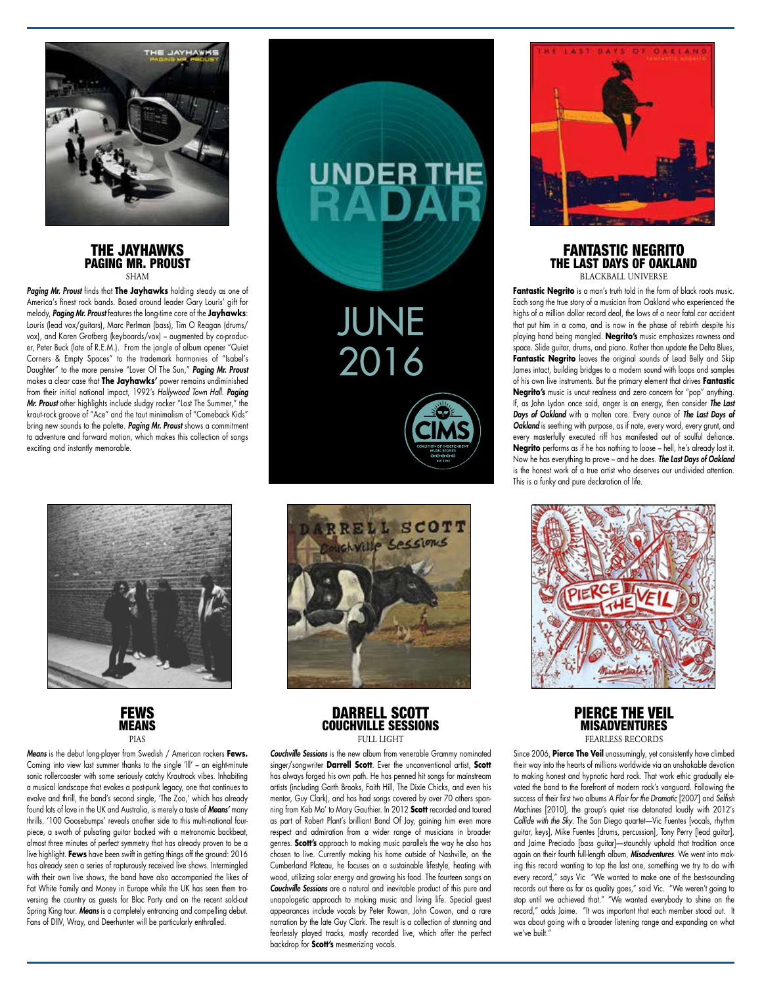

#### THE JAYHAWKS PAGING MR. PROUST SHAM

*Paging Mr. Proust* finds that **The Jayhawks** holding steady as one of America's finest rock bands. Based around leader Gary Louris' gift for melody, *Paging Mr. Proust* features the long-time core of the **Jayhawks**: Louris (lead vox/guitars), Marc Perlman (bass), Tim O Reagan (drums/ vox), and Karen Grotberg (keyboards/vox) – augmented by co-producer, Peter Buck (late of R.E.M.). From the jangle of album opener "Quiet Corners & Empty Spaces" to the trademark harmonies of "Isabel's Daughter" to the more pensive "Lover Of The Sun," *Paging Mr. Proust* makes a clear case that **The Jayhawks'** power remains undiminished from their initial national impact, 1992's *Hollywood Town Hall*. *Paging Mr. Proust* other highlights include sludgy rocker "Lost The Summer," the kraut-rock groove of "Ace" and the taut minimalism of "Comeback Kids" bring new sounds to the palette. *Paging Mr. Proust* shows a commitment to adventure and forward motion, which makes this collection of songs exciting and instantly memorable.



**FEWS MEANS** PIAS

*Means* is the debut long-player from Swedish / American rockers **Fews.**  Coming into view last summer thanks to the single 'Ill' – an eight-minute sonic rollercoaster with some seriously catchy Krautrock vibes. Inhabiting a musical landscape that evokes a post-punk legacy, one that continues to evolve and thrill, the band's second single, 'The Zoo,' which has already found lots of love in the UK and Australia, is merely a taste of *Means'* many thrills. '100 Goosebumps' reveals another side to this multi-national fourpiece, a swath of pulsating guitar backed with a metronomic backbeat, almost three minutes of perfect symmetry that has already proven to be a live highlight. **Fews** have been swift in getting things off the ground: 2016 has already seen a series of rapturously received live shows. Intermingled with their own live shows, the band have also accompanied the likes of Fat White Family and Money in Europe while the UK has seen them traversing the country as guests for Bloc Party and on the recent sold-out Spring King tour. *Means* is a completely entrancing and compelling debut. Fans of DIIV, Wray, and Deerhunter will be particularly enthralled.



*Couchville Sessions* is the new album from venerable Grammy nominated singer/songwriter **Darrell Scott**. Ever the unconventional artist, **Scott** has always forged his own path. He has penned hit songs for mainstream artists (including Garth Brooks, Faith Hill, The Dixie Chicks, and even his mentor, Guy Clark), and has had songs covered by over 70 others spanning from Keb Mo' to Mary Gauthier. In 2012 **Scott** recorded and toured as part of Robert Plant's brilliant Band Of Joy, gaining him even more respect and admiration from a wider range of musicians in broader genres. **Scott's** approach to making music parallels the way he also has chosen to live. Currently making his home outside of Nashville, on the Cumberland Plateau, he focuses on a sustainable lifestyle, heating with wood, utilizing solar energy and growing his food. The fourteen songs on *Couchville Sessions* are a natural and inevitable product of this pure and unapologetic approach to making music and living life. Special guest appearances include vocals by Peter Rowan, John Cowan, and a rare narration by the late Guy Clark. The result is a collection of stunning and fearlessly played tracks, mostly recorded live, which offer the perfect backdrop for **Scott's** mesmerizing vocals.



### FANTASTIC NEGRITO THE LAST DAYS OF OAKLAND BLACKBALL UNIVERSE

**Fantastic Nearito** is a man's truth told in the form of black roots music. Each song the true story of a musician from Oakland who experienced the highs of a million dollar record deal, the lows of a near fatal car accident that put him in a coma, and is now in the phase of rebirth despite his playing hand being mangled. **Negrito's** music emphasizes rawness and space. Slide guitar, drums, and piano. Rather than update the Delta Blues, **Fantastic Negrito** leaves the original sounds of Lead Belly and Skip James intact, building bridges to a modern sound with loops and samples of his own live instruments. But the primary element that drives **Fantastic Negrito's** music is uncut realness and zero concern for "pop" anything. If, as John Lydon once said, anger is an energy, then consider *The Last Days of Oakland* with a molten core. Every ounce of *The Last Days of*  **Oakland** is seething with purpose, as if note, every word, every grunt, and every masterfully executed riff has manifested out of soulful defiance. **Negrito** performs as if he has nothing to loose – hell, he's already lost it. Now he has everything to prove – and he does. *The Last Days of Oakland*  is the honest work of a true artist who deserves our undivided attention. This is a funky and pure declaration of life.



## PIERCE THE VEIL **MISADVENTURES** FEARLESS RECORDS

Since 2006, Pierce The Veil unassumingly, yet consistently have climbed their way into the hearts of millions worldwide via an unshakable devotion to making honest and hypnotic hard rock. That work ethic gradually elevated the band to the forefront of modern rock's vanguard. Following the success of their first two albums *A Flair for the Dramatic* [2007] and *Selfish Machines* [2010], the group's quiet rise detonated loudly with 2012's *Collide with the Sky*. The San Diego quartet—Vic Fuentes [vocals, rhythm guitar, keys], Mike Fuentes [drums, percussion], Tony Perry [lead guitar], and Jaime Preciado [bass guitar]—staunchly uphold that tradition once again on their fourth full-length album, *Misadventures*. We went into making this record wanting to top the last one, something we try to do with every record," says Vic "We wanted to make one of the best-sounding records out there as far as quality goes," said Vic. "We weren't going to stop until we achieved that." "We wanted everybody to shine on the record," adds Jaime. "It was important that each member stood out. It was about going with a broader listening range and expanding on what we've built."



JUNE 2016

UNDER THE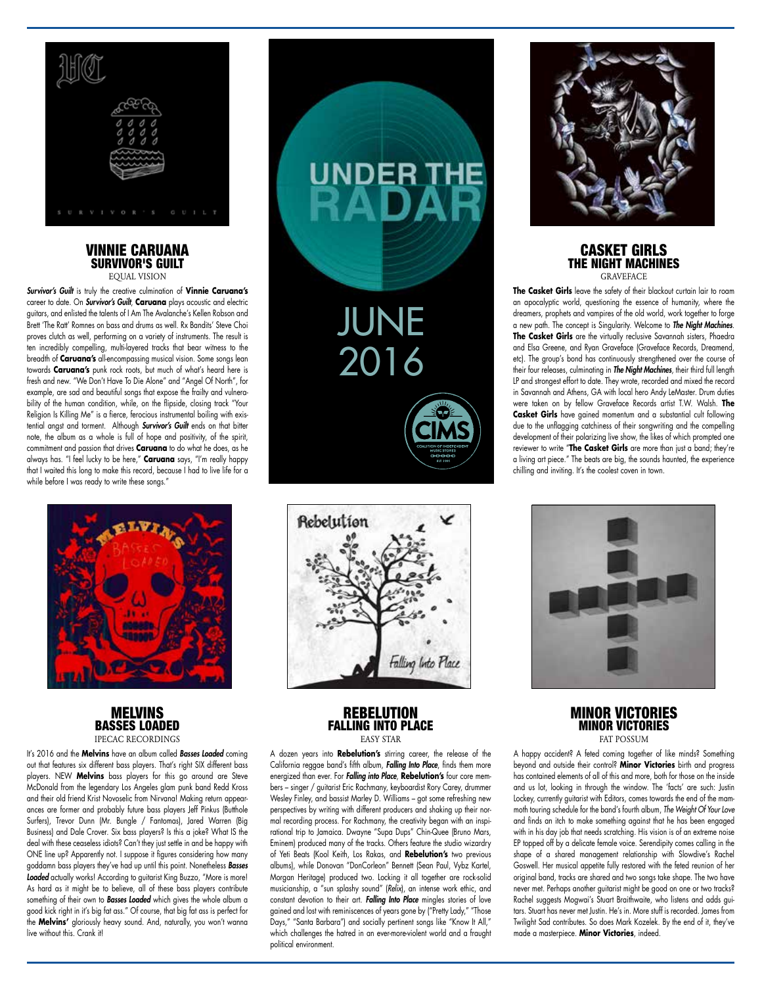

### VINNIE CARUANA SURVIVOR'S GUILT EQUAL VISION

*Survivor's Guilt* is truly the creative culmination of **Vinnie Caruana's** career to date. On *Survivor's Guilt*, **Caruana** plays acoustic and electric guitars, and enlisted the talents of I Am The Avalanche's Kellen Robson and Brett 'The Ratt' Romnes on bass and drums as well. Rx Bandits' Steve Choi proves clutch as well, performing on a variety of instruments. The result is ten incredibly compelling, multi-layered tracks that bear witness to the breadth of **Caruana's** all-encompassing musical vision. Some songs lean towards **Caruana's** punk rock roots, but much of what's heard here is fresh and new. "We Don't Have To Die Alone" and "Angel Of North", for example, are sad and beautiful songs that expose the frailty and vulnerability of the human condition, while, on the flipside, closing track "Your Religion Is Killing Me" is a fierce, ferocious instrumental boiling with existential angst and torment. Although *Survivor's Guilt* ends on that bitter note, the album as a whole is full of hope and positivity, of the spirit, commitment and passion that drives **Caruana** to do what he does, as he always has. "I feel lucky to be here," **Caruana** says, "I'm really happy that I waited this long to make this record, because I had to live life for a while before I was ready to write these songs."



### MELVINS BASSES LOADED IPECAC RECORDINGS

It's 2016 and the **Melvins** have an album called *Basses Loaded* coming out that features six different bass players. That's right SIX different bass players. NEW **Melvins** bass players for this go around are Steve McDonald from the legendary Los Angeles glam punk band Redd Kross and their old friend Krist Novoselic from Nirvana! Making return appearances are former and probably future bass players Jeff Pinkus (Butthole Surfers), Trevor Dunn (Mr. Bungle / Fantomas), Jared Warren (Big Business) and Dale Crover. Six bass players? Is this a joke? What IS the deal with these ceaseless idiots? Can't they just settle in and be happy with ONE line up? Apparently not. I suppose it figures considering how many goddamn bass players they've had up until this point. Nonetheless *Basses Loaded* actually works! According to guitarist King Buzzo, "More is more! As hard as it might be to believe, all of these bass players contribute something of their own to *Basses Loaded* which gives the whole album a good kick right in it's big fat ass." Of course, that big fat ass is perfect for the **Melvins'** gloriously heavy sound. And, naturally, you won't wanna live without this. Crank it!



JUNE 2016



# **REBELUTION** FALLING INTO PLACE EASY STAR

A dozen years into **Rebelution's** stirring career, the release of the California reggae band's fifth album, *Falling Into Place*, finds them more energized than ever. For *Falling into Place*, **Rebelution's** four core members – singer / guitarist Eric Rachmany, keyboardist Rory Carey, drummer Wesley Finley, and bassist Marley D. Williams – got some refreshing new perspectives by writing with different producers and shaking up their normal recording process. For Rachmany, the creativity began with an inspirational trip to Jamaica. Dwayne "Supa Dups" Chin-Quee (Bruno Mars, Eminem) produced many of the tracks. Others feature the studio wizardry of Yeti Beats (Kool Keith, Los Rakas, and **Rebelution's** two previous albums), while Donovan "DonCorleon" Bennett (Sean Paul, Vybz Kartel, Morgan Heritage) produced two. Locking it all together are rock-solid musicianship, a "sun splashy sound" (*Relix*), an intense work ethic, and constant devotion to their art. *Falling Into Place* mingles stories of love gained and lost with reminiscences of years gone by ("Pretty Lady," "Those Days," "Santa Barbara") and socially pertinent songs like "Know It All," which challenges the hatred in an ever-more-violent world and a fraught political environment.



#### CASKET GIRLS THE NIGHT MACHINES GRAVEFACE

**The Casket Girls** leave the safety of their blackout curtain lair to roam an apocalyptic world, questioning the essence of humanity, where the dreamers, prophets and vampires of the old world, work together to forge a new path. The concept is Singularity. Welcome to *The Night Machines*. **The Casket Girls** are the virtually reclusive Savannah sisters, Phaedra and Elsa Greene, and Ryan Graveface (Graveface Records, Dreamend, etc). The group's bond has continuously strengthened over the course of their four releases, culminating in *The Night Machines*, their third full length LP and strongest effort to date. They wrote, recorded and mixed the record in Savannah and Athens, GA with local hero Andy LeMaster. Drum duties were taken on by fellow Graveface Records artist T.W. Walsh. **The Casket Girls** have gained momentum and a substantial cult following due to the unflagging catchiness of their songwriting and the compelling development of their polarizing live show, the likes of which prompted one reviewer to write "**The Casket Girls** are more than just a band; they're a living art piece." The beats are big, the sounds haunted, the experience chilling and inviting. It's the coolest coven in town.



## MINOR VICTORIES MINOR VICTORIES FAT POSSUM

A happy accident? A feted coming together of like minds? Something beyond and outside their control? **Minor Victories** birth and progress has contained elements of all of this and more, both for those on the inside and us lot, looking in through the window. The 'facts' are such: Justin Lockey, currently guitarist with Editors, comes towards the end of the mammoth touring schedule for the band's fourth album, *The Weight Of Your Love* and finds an itch to make something against that he has been engaged with in his day job that needs scratching. His vision is of an extreme noise EP topped off by a delicate female voice. Serendipity comes calling in the shape of a shared management relationship with Slowdive's Rachel Goswell. Her musical appetite fully restored with the feted reunion of her original band, tracks are shared and two songs take shape. The two have never met. Perhaps another guitarist might be good on one or two tracks? Rachel suggests Mogwai's Stuart Braithwaite, who listens and adds guitars. Stuart has never met Justin. He's in. More stuff is recorded. James from Twilight Sad contributes. So does Mark Kozelek. By the end of it, they've made a masterpiece. **Minor Victories**, indeed.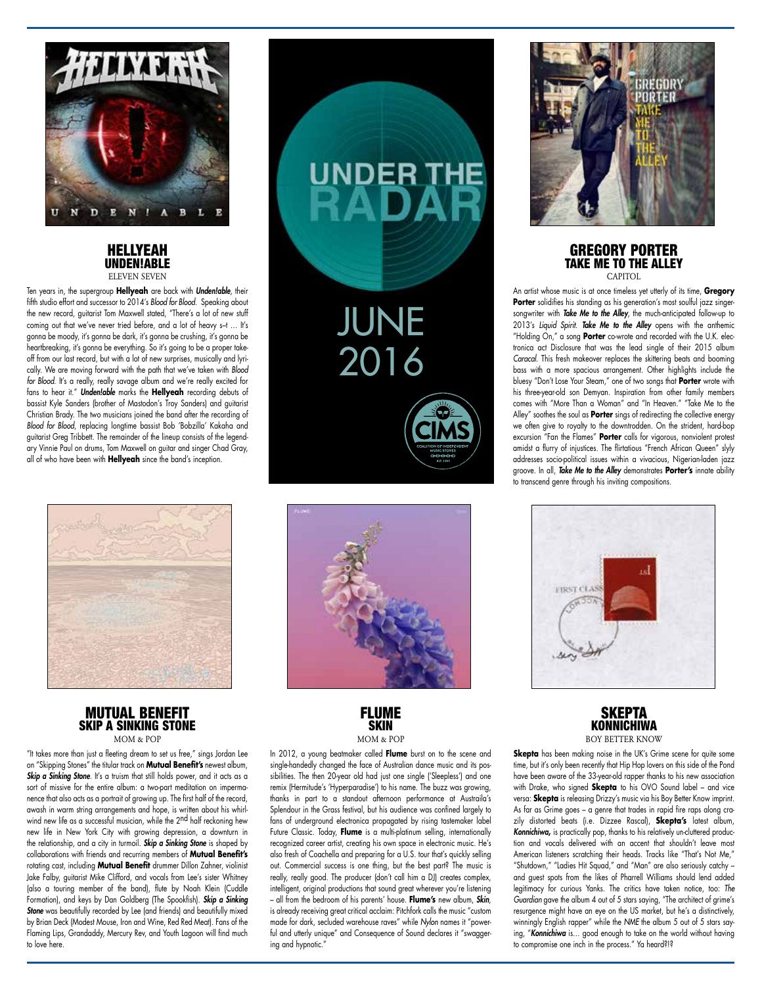



Ten years in, the supergroup **Hellyeah** are back with *Unden!able*, their fifth studio effort and successor to 2014's *Blood for Blood*. Speaking about the new record, guitarist Tom Maxwell stated, "There's a lot of new stuff coming out that we've never tried before, and a lot of heavy s–t … It's gonna be moody, it's gonna be dark, it's gonna be crushing, it's gonna be heartbreaking, it's gonna be everything. So it's going to be a proper takeoff from our last record, but with a lot of new surprises, musically and lyrically. We are moving forward with the path that we've taken with *Blood for Blood*. It's a really, really savage album and we're really excited for fans to hear it." *Unden!able* marks the **Hellyeah** recording debuts of bassist Kyle Sanders (brother of Mastodon's Troy Sanders) and guitarist Christian Brady. The two musicians joined the band after the recording of *Blood for Blood*, replacing longtime bassist Bob 'Bobzilla' Kakaha and guitarist Greg Tribbett. The remainder of the lineup consists of the legendary Vinnie Paul on drums, Tom Maxwell on guitar and singer Chad Gray, all of who have been with **Hellyeah** since the band's inception.



### MUTUAL BENEFIT SKIP A SINKING STONE MOM & POP

"It takes more than just a fleeting dream to set us free," sings Jordan Lee on "Skipping Stones" the titular track on **Mutual Benefit's** newest album, Skip a Sinking Stone. It's a truism that still holds power, and it acts as a sort of missive for the entire album: a two-part meditation on impermanence that also acts as a portrait of growing up. The first half of the record, awash in warm string arrangements and hope, is written about his whirlwind new life as a successful musician, while the 2<sup>nd</sup> half reckoning hew new life in New York City with growing depression, a downturn in the relationship, and a city in turmoil. *Skip a Sinking Stone* is shaped by collaborations with friends and recurring members of **Mutual Benefit's** rotating cast, including **Mutual Benefit** drummer Dillon Zahner, violinist Jake Falby, guitarist Mike Clifford, and vocals from Lee's sister Whitney (also a touring member of the band), flute by Noah Klein (Cuddle Formation), and keys by Dan Goldberg (The Spookfish). *Skip a Sinking*  **Stone** was beautifully recorded by Lee (and friends) and beautifully mixed by Brian Deck (Modest Mouse, Iron and Wine, Red Red Meat). Fans of the Flaming Lips, Grandaddy, Mercury Rev, and Youth Lagoon will find much to love here.





FLUME **SKIN** MOM & POE

In 2012, a young beatmaker called **Flume** burst on to the scene and single-handedly changed the face of Australian dance music and its possibilities. The then 20-year old had just one single ('Sleepless') and one remix (Hermitude's 'Hyperparadise') to his name. The buzz was growing, thanks in part to a standout afternoon performance at Austraila's Splendour in the Grass festival, but his audience was confined largely to fans of underground electronica propagated by rising tastemaker label Future Classic. Today, **Flume** is a multi-platinum selling, internationally recognized career artist, creating his own space in electronic music. He's also fresh of Coachella and preparing for a U.S. tour that's quickly selling out. Commercial success is one thing, but the best part? The music is really, really good. The producer (don't call him a DJ) creates complex, intelligent, original productions that sound great wherever you're listening – all from the bedroom of his parents' house. **Flume's** new album, *Skin*, is already receiving great critical acclaim: Pitchfork calls the music "custom made for dark, secluded warehouse raves" while *Nylon* names it "powerful and utterly unique" and Consequence of Sound declares it "swaggering and hypnotic."



#### GREGORY PORTER TAKE ME TO THE ALLEY CAPITOL

An artist whose music is at once timeless yet utterly of its time, **Gregory**  Porter solidifies his standing as his generation's most soulful jazz singersongwriter with *Take Me to the Alley,* the much-anticipated follow-up to 2013's *Liquid Spirit*. *Take Me to the Alley* opens with the anthemic "Holding On," a song **Porter** co-wrote and recorded with the U.K. electronica act Disclosure that was the lead single of their 2015 album *Caracal*. This fresh makeover replaces the skittering beats and booming bass with a more spacious arrangement. Other highlights include the bluesy "Don't Lose Your Steam," one of two songs that **Porter** wrote with his three-year-old son Demyan. Inspiration from other family members comes with "More Than a Woman" and "In Heaven." "Take Me to the Alley" soothes the soul as **Porter** sings of redirecting the collective energy we often give to royalty to the downtrodden. On the strident, hard-bop excursion "Fan the Flames" **Porter** calls for vigorous, nonviolent protest amidst a flurry of injustices. The flirtatious "French African Queen" slyly addresses socio-political issues within a vivacious, Nigerian-laden jazz groove. In all, *Take Me to the Alley* demonstrates **Porter's** innate ability to transcend genre through his inviting compositions.



# **SKEPTA KONNICHIWA** BOY BETTER KNOW

**Skepta** has been making noise in the UK's Grime scene for quite some time, but it's only been recently that Hip Hop lovers on this side of the Pond have been aware of the 33-year-old rapper thanks to his new association with Drake, who signed **Skepta** to his OVO Sound label – and vice versa: **Skepta** is releasing Drizzy's music via his Boy Better Know imprint. As far as Grime goes – a genre that trades in rapid fire raps along crazily distorted beats (i.e. Dizzee Rascal), **Skepta's** latest album, Konnichiwa, is practically pop, thanks to his relatively un-cluttered production and vocals delivered with an accent that shouldn't leave most American listeners scratching their heads. Tracks like "That's Not Me," "Shutdown," "Ladies Hit Squad," and "Man" are also seriously catchy – and guest spots from the likes of Pharrell Williams should lend added legitimacy for curious Yanks. The critics have taken notice, too: *The Guardian* gave the album 4 out of 5 stars saying, "The architect of grime's resurgence might have an eye on the US market, but he's a distinctively, winningly English rapper" while the *NME* the album 5 out of 5 stars saying, "*Konnichiwa* is… good enough to take on the world without having to compromise one inch in the process." Ya heard?!?